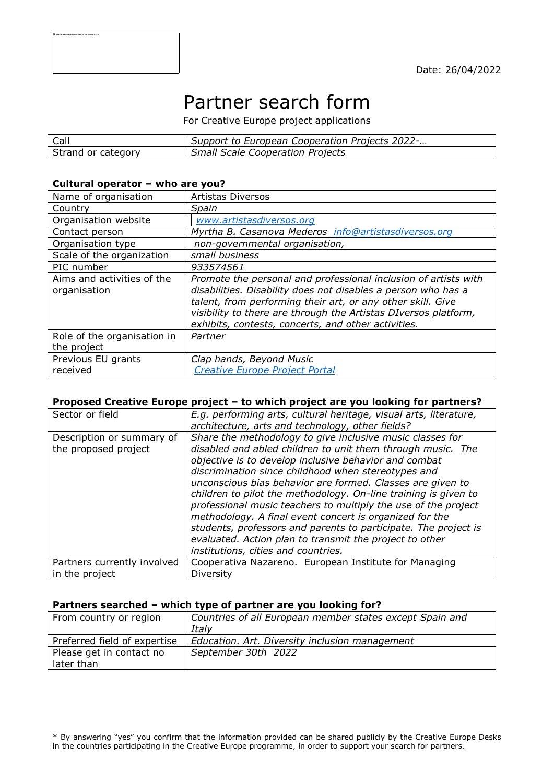# Partner search form

For Creative Europe project applications

| Call               | Support to European Cooperation Projects 2022- |
|--------------------|------------------------------------------------|
| Strand or category | <b>Small Scale Cooperation Projects</b>        |

#### **Cultural operator – who are you?**

| Name of organisation                       | <b>Artistas Diversos</b>                                                                                                                                                                                                                                                                                                  |
|--------------------------------------------|---------------------------------------------------------------------------------------------------------------------------------------------------------------------------------------------------------------------------------------------------------------------------------------------------------------------------|
| Country                                    | Spain                                                                                                                                                                                                                                                                                                                     |
| Organisation website                       | www.artistasdiversos.org                                                                                                                                                                                                                                                                                                  |
| Contact person                             | Myrtha B. Casanova Mederos info@artistasdiversos.org                                                                                                                                                                                                                                                                      |
| Organisation type                          | non-governmental organisation,                                                                                                                                                                                                                                                                                            |
| Scale of the organization                  | small business                                                                                                                                                                                                                                                                                                            |
| PIC number                                 | 933574561                                                                                                                                                                                                                                                                                                                 |
| Aims and activities of the<br>organisation | Promote the personal and professional inclusion of artists with<br>disabilities. Disability does not disables a person who has a<br>talent, from performing their art, or any other skill. Give<br>visibility to there are through the Artistas DIversos platform,<br>exhibits, contests, concerts, and other activities. |
| Role of the organisation in<br>the project | Partner                                                                                                                                                                                                                                                                                                                   |
| Previous EU grants<br>received             | Clap hands, Beyond Music<br><b>Creative Europe Project Portal</b>                                                                                                                                                                                                                                                         |

#### **Proposed Creative Europe project – to which project are you looking for partners?**

| Sector or field                                   | E.g. performing arts, cultural heritage, visual arts, literature,<br>architecture, arts and technology, other fields?                                                                                                                                                                                                                                                                                                                                                                                                                                                                                                                                                       |
|---------------------------------------------------|-----------------------------------------------------------------------------------------------------------------------------------------------------------------------------------------------------------------------------------------------------------------------------------------------------------------------------------------------------------------------------------------------------------------------------------------------------------------------------------------------------------------------------------------------------------------------------------------------------------------------------------------------------------------------------|
| Description or summary of<br>the proposed project | Share the methodology to give inclusive music classes for<br>disabled and abled children to unit them through music. The<br>objective is to develop inclusive behavior and combat<br>discrimination since childhood when stereotypes and<br>unconscious bias behavior are formed. Classes are given to<br>children to pilot the methodology. On-line training is given to<br>professional music teachers to multiply the use of the project<br>methodology. A final event concert is organized for the<br>students, professors and parents to participate. The project is<br>evaluated. Action plan to transmit the project to other<br>institutions, cities and countries. |
| Partners currently involved<br>in the project     | Cooperativa Nazareno. European Institute for Managing<br>Diversity                                                                                                                                                                                                                                                                                                                                                                                                                                                                                                                                                                                                          |

### **Partners searched – which type of partner are you looking for?**

| From country or region       | Countries of all European member states except Spain and |
|------------------------------|----------------------------------------------------------|
|                              | Italv                                                    |
| Preferred field of expertise | Education. Art. Diversity inclusion management           |
| Please get in contact no     | September 30th 2022                                      |
| later than                   |                                                          |